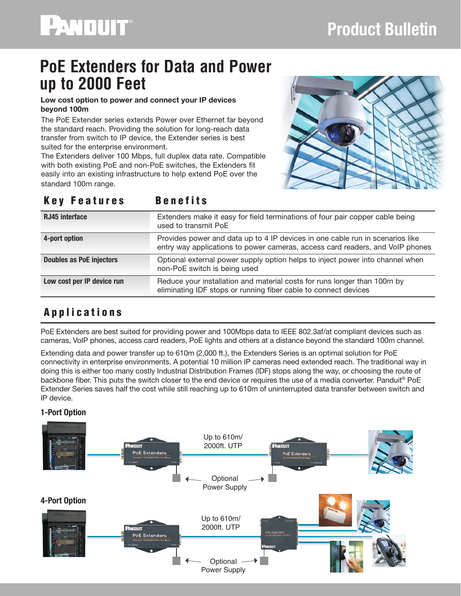# **PoE Extenders for Data and Power up to 2000 Feet**

#### **Low cost option to power and connect your IP devices beyond 100m**

The PoE Extender series extends Power over Ethernet far beyond the standard reach. Providing the solution for long-reach data transfer from switch to IP device, the Extender series is best suited for the enterprise environment.

The Extenders deliver 100 Mbps, full duplex data rate. Compatible with both existing PoE and non-PoE switches, the Extenders fit easily into an existing infrastructure to help extend PoE over the standard 100m range.



### Key Features Benefits

| <b>RJ45 interface</b>           | Extenders make it easy for field terminations of four pair copper cable being<br>used to transmit PoE                                                          |
|---------------------------------|----------------------------------------------------------------------------------------------------------------------------------------------------------------|
| 4-port option                   | Provides power and data up to 4 IP devices in one cable run in scenarios like<br>entry way applications to power cameras, access card readers, and VoIP phones |
| <b>Doubles as PoE injectors</b> | Optional external power supply option helps to inject power into channel when<br>non-PoE switch is being used                                                  |
| Low cost per IP device run      | Reduce your installation and material costs for runs longer than 100m by<br>eliminating IDF stops or running fiber cable to connect devices                    |

# Applications

PoE Extenders are best suited for providing power and 100Mbps data to IEEE 802.3af/at compliant devices such as cameras, VoIP phones, access card readers, PoE lights and others at a distance beyond the standard 100m channel.

Extending data and power transfer up to 610m (2,000 ft.), the Extenders Series is an optimal solution for PoE connectivity in enterprise environments. A potential 10 million IP cameras need extended reach. The traditional way in doing this is either too many costly Industrial Distribution Frames (IDF) stops along the way, or choosing the route of backbone fiber. This puts the switch closer to the end device or requires the use of a media converter. Panduit® PoE Extender Series saves half the cost while still reaching up to 610m of uninterrupted data transfer between switch and IP device.

### 1-Port Option